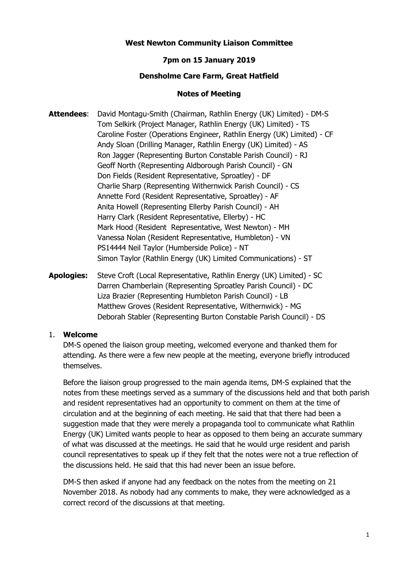# **West Newton Community Liaison Committee**

# **7pm on 15 January 2019**

### **Densholme Care Farm, Great Hatfield**

### **Notes of Meeting**

- **Attendees**: David Montagu-Smith (Chairman, Rathlin Energy (UK) Limited) DM-S Tom Selkirk (Project Manager, Rathlin Energy (UK) Limited) - TS Caroline Foster (Operations Engineer, Rathlin Energy (UK) Limited) - CF Andy Sloan (Drilling Manager, Rathlin Energy (UK) Limited) - AS Ron Jagger (Representing Burton Constable Parish Council) - RJ Geoff North (Representing Aldborough Parish Council) - GN Don Fields (Resident Representative, Sproatley) - DF Charlie Sharp (Representing Withernwick Parish Council) - CS Annette Ford (Resident Representative, Sproatley) - AF Anita Howell (Representing Ellerby Parish Council) - AH Harry Clark (Resident Representative, Ellerby) - HC Mark Hood (Resident Representative, West Newton) - MH Vanessa Nolan (Resident Representative, Humbleton) - VN PS14444 Neil Taylor (Humberside Police) - NT Simon Taylor (Rathlin Energy (UK) Limited Communications) - ST
- **Apologies:** Steve Croft (Local Representative, Rathlin Energy (UK) Limited) SC Darren Chamberlain (Representing Sproatley Parish Council) - DC Liza Brazier (Representing Humbleton Parish Council) - LB Matthew Groves (Resident Representative, Withernwick) - MG Deborah Stabler (Representing Burton Constable Parish Council) - DS

#### 1. **Welcome**

DM-S opened the liaison group meeting, welcomed everyone and thanked them for attending. As there were a few new people at the meeting, everyone briefly introduced themselves.

Before the liaison group progressed to the main agenda items, DM-S explained that the notes from these meetings served as a summary of the discussions held and that both parish and resident representatives had an opportunity to comment on them at the time of circulation and at the beginning of each meeting. He said that that there had been a suggestion made that they were merely a propaganda tool to communicate what Rathlin Energy (UK) Limited wants people to hear as opposed to them being an accurate summary of what was discussed at the meetings. He said that he would urge resident and parish council representatives to speak up if they felt that the notes were not a true reflection of the discussions held. He said that this had never been an issue before.

DM-S then asked if anyone had any feedback on the notes from the meeting on 21 November 2018. As nobody had any comments to make, they were acknowledged as a correct record of the discussions at that meeting.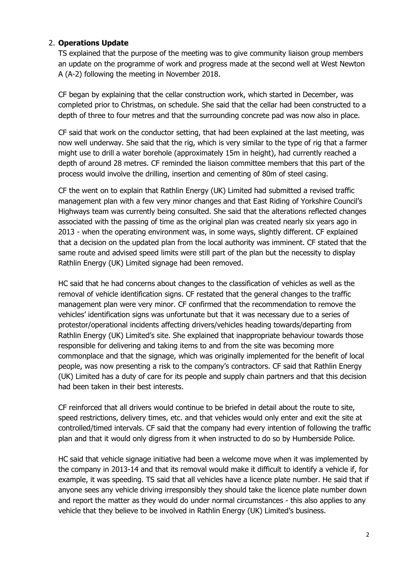# 2. **Operations Update**

TS explained that the purpose of the meeting was to give community liaison group members an update on the programme of work and progress made at the second well at West Newton A (A-2) following the meeting in November 2018.

CF began by explaining that the cellar construction work, which started in December, was completed prior to Christmas, on schedule. She said that the cellar had been constructed to a depth of three to four metres and that the surrounding concrete pad was now also in place.

CF said that work on the conductor setting, that had been explained at the last meeting, was now well underway. She said that the rig, which is very similar to the type of rig that a farmer might use to drill a water borehole (approximately 15m in height), had currently reached a depth of around 28 metres. CF reminded the liaison committee members that this part of the process would involve the drilling, insertion and cementing of 80m of steel casing.

CF the went on to explain that Rathlin Energy (UK) Limited had submitted a revised traffic management plan with a few very minor changes and that East Riding of Yorkshire Council's Highways team was currently being consulted. She said that the alterations reflected changes associated with the passing of time as the original plan was created nearly six years ago in 2013 - when the operating environment was, in some ways, slightly different. CF explained that a decision on the updated plan from the local authority was imminent. CF stated that the same route and advised speed limits were still part of the plan but the necessity to display Rathlin Energy (UK) Limited signage had been removed.

HC said that he had concerns about changes to the classification of vehicles as well as the removal of vehicle identification signs. CF restated that the general changes to the traffic management plan were very minor. CF confirmed that the recommendation to remove the vehicles' identification signs was unfortunate but that it was necessary due to a series of protestor/operational incidents affecting drivers/vehicles heading towards/departing from Rathlin Energy (UK) Limited's site. She explained that inappropriate behaviour towards those responsible for delivering and taking items to and from the site was becoming more commonplace and that the signage, which was originally implemented for the benefit of local people, was now presenting a risk to the company's contractors. CF said that Rathlin Energy (UK) Limited has a duty of care for its people and supply chain partners and that this decision had been taken in their best interests.

CF reinforced that all drivers would continue to be briefed in detail about the route to site, speed restrictions, delivery times, etc. and that vehicles would only enter and exit the site at controlled/timed intervals. CF said that the company had every intention of following the traffic plan and that it would only digress from it when instructed to do so by Humberside Police.

HC said that vehicle signage initiative had been a welcome move when it was implemented by the company in 2013-14 and that its removal would make it difficult to identify a vehicle if, for example, it was speeding. TS said that all vehicles have a licence plate number. He said that if anyone sees any vehicle driving irresponsibly they should take the licence plate number down and report the matter as they would do under normal circumstances - this also applies to any vehicle that they believe to be involved in Rathlin Energy (UK) Limited's business.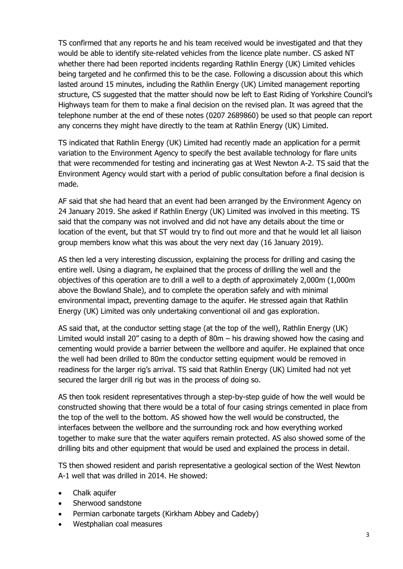TS confirmed that any reports he and his team received would be investigated and that they would be able to identify site-related vehicles from the licence plate number. CS asked NT whether there had been reported incidents regarding Rathlin Energy (UK) Limited vehicles being targeted and he confirmed this to be the case. Following a discussion about this which lasted around 15 minutes, including the Rathlin Energy (UK) Limited management reporting structure, CS suggested that the matter should now be left to East Riding of Yorkshire Council's Highways team for them to make a final decision on the revised plan. It was agreed that the telephone number at the end of these notes (0207 2689860) be used so that people can report any concerns they might have directly to the team at Rathlin Energy (UK) Limited.

TS indicated that Rathlin Energy (UK) Limited had recently made an application for a permit variation to the Environment Agency to specify the best available technology for flare units that were recommended for testing and incinerating gas at West Newton A-2. TS said that the Environment Agency would start with a period of public consultation before a final decision is made.

AF said that she had heard that an event had been arranged by the Environment Agency on 24 January 2019. She asked if Rathlin Energy (UK) Limited was involved in this meeting. TS said that the company was not involved and did not have any details about the time or location of the event, but that ST would try to find out more and that he would let all liaison group members know what this was about the very next day (16 January 2019).

AS then led a very interesting discussion, explaining the process for drilling and casing the entire well. Using a diagram, he explained that the process of drilling the well and the objectives of this operation are to drill a well to a depth of approximately 2,000m (1,000m above the Bowland Shale), and to complete the operation safely and with minimal environmental impact, preventing damage to the aquifer. He stressed again that Rathlin Energy (UK) Limited was only undertaking conventional oil and gas exploration.

AS said that, at the conductor setting stage (at the top of the well), Rathlin Energy (UK) Limited would install 20" casing to a depth of 80m – his drawing showed how the casing and cementing would provide a barrier between the wellbore and aquifer. He explained that once the well had been drilled to 80m the conductor setting equipment would be removed in readiness for the larger rig's arrival. TS said that Rathlin Energy (UK) Limited had not yet secured the larger drill rig but was in the process of doing so.

AS then took resident representatives through a step-by-step guide of how the well would be constructed showing that there would be a total of four casing strings cemented in place from the top of the well to the bottom. AS showed how the well would be constructed, the interfaces between the wellbore and the surrounding rock and how everything worked together to make sure that the water aquifers remain protected. AS also showed some of the drilling bits and other equipment that would be used and explained the process in detail.

TS then showed resident and parish representative a geological section of the West Newton A-1 well that was drilled in 2014. He showed:

- Chalk aquifer
- Sherwood sandstone
- Permian carbonate targets (Kirkham Abbey and Cadeby)
- Westphalian coal measures